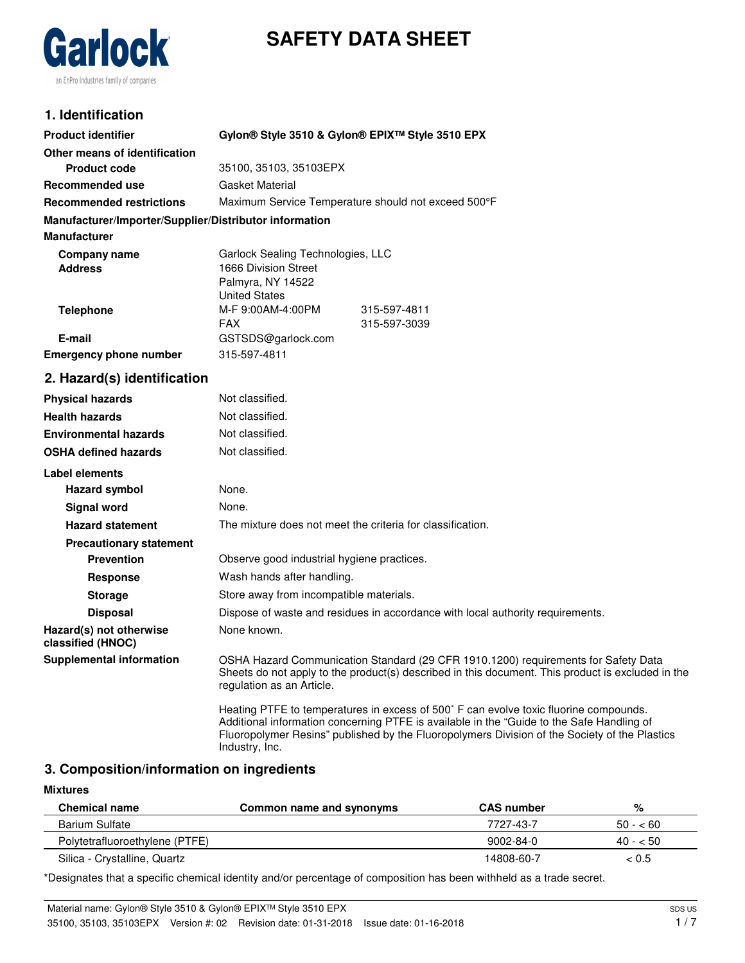# **SAFETY DATA SHEET**



## **1. Identification**

| <b>Product identifier</b>                              | Gylon® Style 3510 & Gylon® EPIX™ Style 3510 EPX                                                                                                                                                                                                                                                       |  |  |
|--------------------------------------------------------|-------------------------------------------------------------------------------------------------------------------------------------------------------------------------------------------------------------------------------------------------------------------------------------------------------|--|--|
| Other means of identification                          |                                                                                                                                                                                                                                                                                                       |  |  |
| <b>Product code</b>                                    | 35100, 35103, 35103EPX                                                                                                                                                                                                                                                                                |  |  |
| <b>Recommended use</b>                                 | <b>Gasket Material</b>                                                                                                                                                                                                                                                                                |  |  |
| <b>Recommended restrictions</b>                        | Maximum Service Temperature should not exceed 500°F                                                                                                                                                                                                                                                   |  |  |
| Manufacturer/Importer/Supplier/Distributor information |                                                                                                                                                                                                                                                                                                       |  |  |
| <b>Manufacturer</b>                                    |                                                                                                                                                                                                                                                                                                       |  |  |
| <b>Company name</b><br><b>Address</b>                  | Garlock Sealing Technologies, LLC<br>1666 Division Street<br>Palmyra, NY 14522                                                                                                                                                                                                                        |  |  |
|                                                        | <b>United States</b>                                                                                                                                                                                                                                                                                  |  |  |
| <b>Telephone</b>                                       | M-F 9:00AM-4:00PM<br>315-597-4811                                                                                                                                                                                                                                                                     |  |  |
|                                                        | FAX.<br>315-597-3039                                                                                                                                                                                                                                                                                  |  |  |
| E-mail                                                 | GSTSDS@garlock.com                                                                                                                                                                                                                                                                                    |  |  |
| <b>Emergency phone number</b>                          | 315-597-4811                                                                                                                                                                                                                                                                                          |  |  |
| 2. Hazard(s) identification                            |                                                                                                                                                                                                                                                                                                       |  |  |
| <b>Physical hazards</b>                                | Not classified.                                                                                                                                                                                                                                                                                       |  |  |
| <b>Health hazards</b>                                  | Not classified.                                                                                                                                                                                                                                                                                       |  |  |
| <b>Environmental hazards</b>                           | Not classified.                                                                                                                                                                                                                                                                                       |  |  |
| <b>OSHA defined hazards</b>                            | Not classified.                                                                                                                                                                                                                                                                                       |  |  |
| Label elements                                         |                                                                                                                                                                                                                                                                                                       |  |  |
| Hazard symbol                                          | None.                                                                                                                                                                                                                                                                                                 |  |  |
| <b>Signal word</b>                                     | None.                                                                                                                                                                                                                                                                                                 |  |  |
| <b>Hazard statement</b>                                | The mixture does not meet the criteria for classification.                                                                                                                                                                                                                                            |  |  |
| <b>Precautionary statement</b>                         |                                                                                                                                                                                                                                                                                                       |  |  |
| <b>Prevention</b>                                      | Observe good industrial hygiene practices.                                                                                                                                                                                                                                                            |  |  |
| <b>Response</b>                                        | Wash hands after handling.                                                                                                                                                                                                                                                                            |  |  |
| <b>Storage</b>                                         | Store away from incompatible materials.                                                                                                                                                                                                                                                               |  |  |
| <b>Disposal</b>                                        | Dispose of waste and residues in accordance with local authority requirements.                                                                                                                                                                                                                        |  |  |
| Hazard(s) not otherwise<br>classified (HNOC)           | None known.                                                                                                                                                                                                                                                                                           |  |  |
| <b>Supplemental information</b>                        | OSHA Hazard Communication Standard (29 CFR 1910.1200) requirements for Safety Data<br>Sheets do not apply to the product(s) described in this document. This product is excluded in the<br>regulation as an Article.                                                                                  |  |  |
|                                                        | Heating PTFE to temperatures in excess of 500° F can evolve toxic fluorine compounds.<br>Additional information concerning PTFE is available in the "Guide to the Safe Handling of<br>Fluoropolymer Resins" published by the Fluoropolymers Division of the Society of the Plastics<br>Industry, Inc. |  |  |

### **3. Composition/information on ingredients**

### **Mixtures**

| <b>Chemical name</b>           | Common name and synonyms | <b>CAS</b> number | %         |
|--------------------------------|--------------------------|-------------------|-----------|
| Barium Sulfate                 |                          | 7727-43-7         | $50 - 60$ |
| Polytetrafluoroethylene (PTFE) |                          | 9002-84-0         | $40 - 50$ |
| Silica - Crystalline, Quartz   |                          | 14808-60-7        | ~< 0.5    |

\*Designates that a specific chemical identity and/or percentage of composition has been withheld as a trade secret.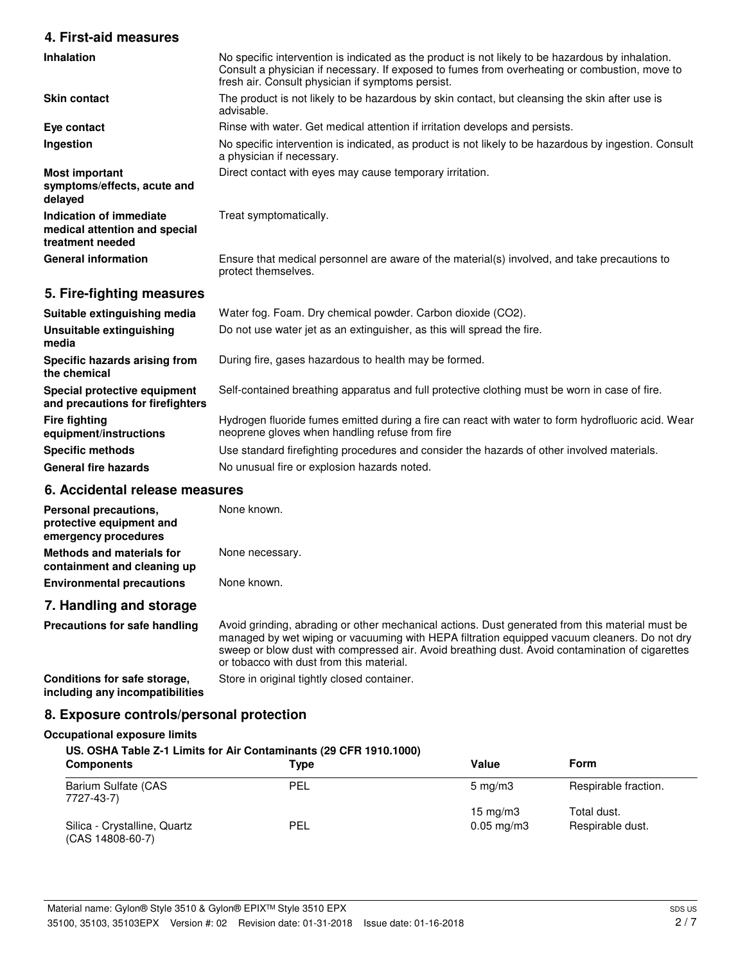### **4. First-aid measures**

| <b>Inhalation</b>                                                            | No specific intervention is indicated as the product is not likely to be hazardous by inhalation.<br>Consult a physician if necessary. If exposed to fumes from overheating or combustion, move to<br>fresh air. Consult physician if symptoms persist. |
|------------------------------------------------------------------------------|---------------------------------------------------------------------------------------------------------------------------------------------------------------------------------------------------------------------------------------------------------|
| <b>Skin contact</b>                                                          | The product is not likely to be hazardous by skin contact, but cleansing the skin after use is<br>advisable.                                                                                                                                            |
| Eye contact                                                                  | Rinse with water. Get medical attention if irritation develops and persists.                                                                                                                                                                            |
| Ingestion                                                                    | No specific intervention is indicated, as product is not likely to be hazardous by ingestion. Consult<br>a physician if necessary.                                                                                                                      |
| <b>Most important</b><br>symptoms/effects, acute and<br>delayed              | Direct contact with eyes may cause temporary irritation.                                                                                                                                                                                                |
| Indication of immediate<br>medical attention and special<br>treatment needed | Treat symptomatically.                                                                                                                                                                                                                                  |
| <b>General information</b>                                                   | Ensure that medical personnel are aware of the material(s) involved, and take precautions to<br>protect themselves.                                                                                                                                     |
| 5. Fire-fighting measures                                                    |                                                                                                                                                                                                                                                         |

| Suitable extinguishing media                                     | Water fog. Foam. Dry chemical powder. Carbon dioxide (CO2).                                                                                          |
|------------------------------------------------------------------|------------------------------------------------------------------------------------------------------------------------------------------------------|
| Unsuitable extinguishing<br>media                                | Do not use water jet as an extinguisher, as this will spread the fire.                                                                               |
| Specific hazards arising from<br>the chemical                    | During fire, gases hazardous to health may be formed.                                                                                                |
| Special protective equipment<br>and precautions for firefighters | Self-contained breathing apparatus and full protective clothing must be worn in case of fire.                                                        |
| <b>Fire fighting</b><br>equipment/instructions                   | Hydrogen fluoride fumes emitted during a fire can react with water to form hydrofluoric acid. Wear<br>neoprene gloves when handling refuse from fire |
| <b>Specific methods</b>                                          | Use standard firefighting procedures and consider the hazards of other involved materials.                                                           |
| <b>General fire hazards</b>                                      | No unusual fire or explosion hazards noted.                                                                                                          |

## **6. Accidental release measures**

| Personal precautions,<br>protective equipment and<br>emergency procedures | None known.     |
|---------------------------------------------------------------------------|-----------------|
| Methods and materials for<br>containment and cleaning up                  | None necessary. |
| <b>Environmental precautions</b>                                          | None known.     |
| 7 Herealling and starsers                                                 |                 |

## **7. Handling and storage Precautions for safe handling**

Avoid grinding, abrading or other mechanical actions. Dust generated from this material must be managed by wet wiping or vacuuming with HEPA filtration equipped vacuum cleaners. Do not dry sweep or blow dust with compressed air. Avoid breathing dust. Avoid contamination of cigarettes or tobacco with dust from this material.

**Conditions for safe storage, Store in original tightly closed container. including any incompatibilities**

## **8. Exposure controls/personal protection**

### **Occupational exposure limits**

### **US. OSHA Table Z-1 Limits for Air Contaminants (29 CFR 1910.1000)**

| <b>Components</b>                                  | Type       | Value                  | <b>Form</b>          |  |
|----------------------------------------------------|------------|------------------------|----------------------|--|
| Barium Sulfate (CAS<br>7727-43-7)                  | <b>PEL</b> | $5 \text{ mg/m}$       | Respirable fraction. |  |
|                                                    |            | $15 \text{ mg/m}$      | Total dust.          |  |
| Silica - Crystalline, Quartz<br>$(CAS 14808-60-7)$ | <b>PEL</b> | $0.05 \,\mathrm{mg/m}$ | Respirable dust.     |  |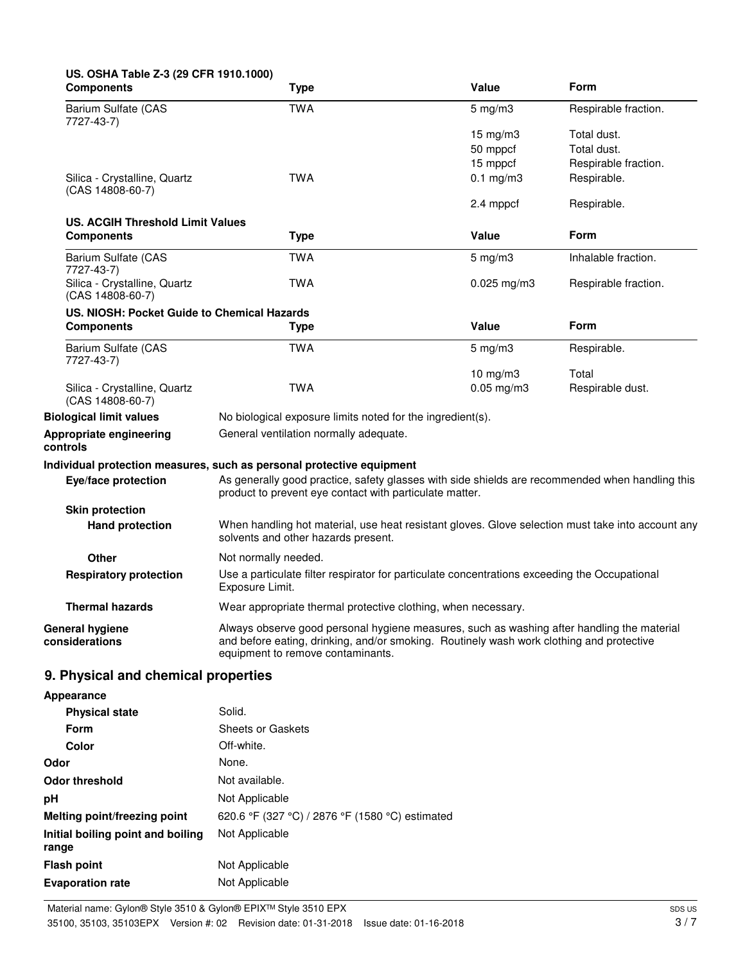| US. OSHA Table Z-3 (29 CFR 1910.1000)<br><b>Components</b>   | Type                                                                                                                                                                                                                        | Value            | Form                 |
|--------------------------------------------------------------|-----------------------------------------------------------------------------------------------------------------------------------------------------------------------------------------------------------------------------|------------------|----------------------|
| Barium Sulfate (CAS<br>7727-43-7)                            | <b>TWA</b>                                                                                                                                                                                                                  | $5$ mg/m $3$     | Respirable fraction. |
|                                                              |                                                                                                                                                                                                                             | 15 mg/m3         | Total dust.          |
|                                                              |                                                                                                                                                                                                                             | 50 mppcf         | Total dust.          |
|                                                              |                                                                                                                                                                                                                             | 15 mppcf         | Respirable fraction. |
| Silica - Crystalline, Quartz<br>$(CAS 14808-60-7)$           | <b>TWA</b>                                                                                                                                                                                                                  | $0.1$ mg/m $3$   | Respirable.          |
|                                                              |                                                                                                                                                                                                                             | 2.4 mppcf        | Respirable.          |
| <b>US. ACGIH Threshold Limit Values</b><br><b>Components</b> | <b>Type</b>                                                                                                                                                                                                                 | Value            | Form                 |
|                                                              |                                                                                                                                                                                                                             |                  |                      |
| Barium Sulfate (CAS<br>7727-43-7)                            | <b>TWA</b>                                                                                                                                                                                                                  | $5$ mg/m $3$     | Inhalable fraction.  |
| Silica - Crystalline, Quartz<br>$(CAS 14808-60-7)$           | <b>TWA</b>                                                                                                                                                                                                                  | $0.025$ mg/m3    | Respirable fraction. |
| US. NIOSH: Pocket Guide to Chemical Hazards                  |                                                                                                                                                                                                                             |                  |                      |
| <b>Components</b>                                            | <b>Type</b>                                                                                                                                                                                                                 | Value            | Form                 |
| Barium Sulfate (CAS<br>7727-43-7)                            | <b>TWA</b>                                                                                                                                                                                                                  | $5 \text{ mg/m}$ | Respirable.          |
|                                                              |                                                                                                                                                                                                                             | $10$ mg/m $3$    | Total                |
| Silica - Crystalline, Quartz<br>(CAS 14808-60-7)             | <b>TWA</b>                                                                                                                                                                                                                  | $0.05$ mg/m $3$  | Respirable dust.     |
| <b>Biological limit values</b>                               | No biological exposure limits noted for the ingredient(s).                                                                                                                                                                  |                  |                      |
| Appropriate engineering<br>controls                          | General ventilation normally adequate.                                                                                                                                                                                      |                  |                      |
|                                                              | Individual protection measures, such as personal protective equipment                                                                                                                                                       |                  |                      |
| Eye/face protection                                          | As generally good practice, safety glasses with side shields are recommended when handling this<br>product to prevent eye contact with particulate matter.                                                                  |                  |                      |
| <b>Skin protection</b>                                       |                                                                                                                                                                                                                             |                  |                      |
| <b>Hand protection</b>                                       | When handling hot material, use heat resistant gloves. Glove selection must take into account any<br>solvents and other hazards present.                                                                                    |                  |                      |
| Other                                                        | Not normally needed.                                                                                                                                                                                                        |                  |                      |
| <b>Respiratory protection</b>                                | Use a particulate filter respirator for particulate concentrations exceeding the Occupational<br>Exposure Limit.                                                                                                            |                  |                      |
| <b>Thermal hazards</b>                                       | Wear appropriate thermal protective clothing, when necessary.                                                                                                                                                               |                  |                      |
| <b>General hygiene</b><br>considerations                     | Always observe good personal hygiene measures, such as washing after handling the material<br>and before eating, drinking, and/or smoking. Routinely wash work clothing and protective<br>equipment to remove contaminants. |                  |                      |
| 9. Physical and chemical properties                          |                                                                                                                                                                                                                             |                  |                      |
| <b>Appearance</b>                                            |                                                                                                                                                                                                                             |                  |                      |
|                                                              |                                                                                                                                                                                                                             |                  |                      |

| <b>Physical state</b>                      | Solid.                                          |
|--------------------------------------------|-------------------------------------------------|
| Form                                       | <b>Sheets or Gaskets</b>                        |
| Color                                      | Off-white.                                      |
| Odor                                       | None.                                           |
| Odor threshold                             | Not available.                                  |
| рH                                         | Not Applicable                                  |
| Melting point/freezing point               | 620.6 °F (327 °C) / 2876 °F (1580 °C) estimated |
| Initial boiling point and boiling<br>range | Not Applicable                                  |
|                                            |                                                 |
| Flash point                                | Not Applicable                                  |
| <b>Evaporation rate</b>                    | Not Applicable                                  |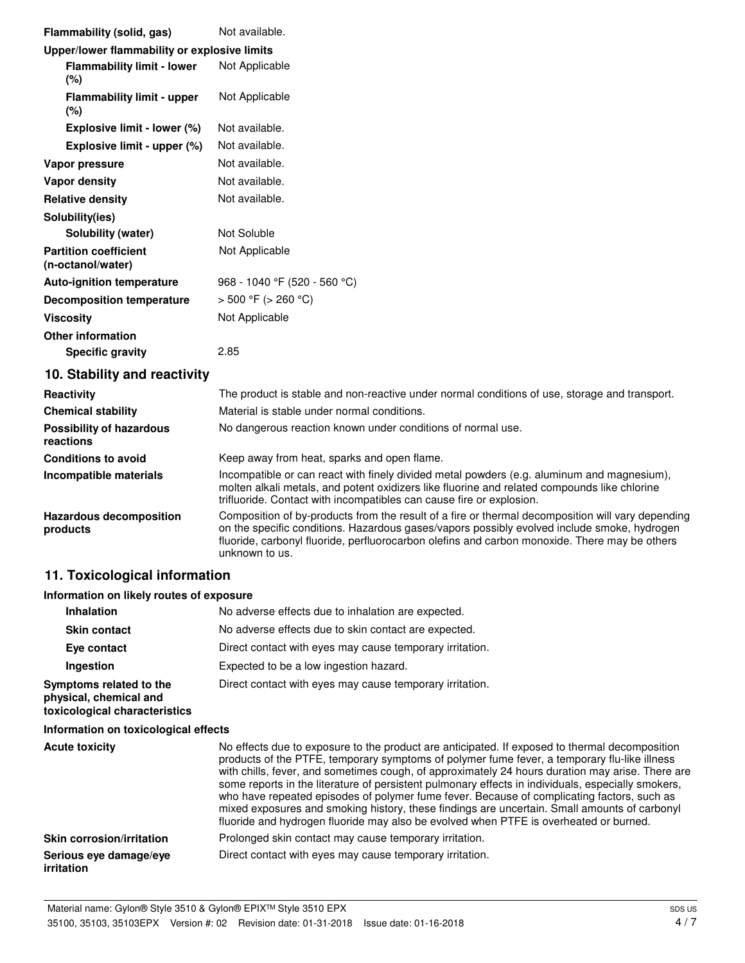| Flammability (solid, gas)                         | Not available.               |
|---------------------------------------------------|------------------------------|
| Upper/lower flammability or explosive limits      |                              |
| <b>Flammability limit - lower</b><br>$(\%)$       | Not Applicable               |
| <b>Flammability limit - upper</b><br>$(\%)$       | Not Applicable               |
| Explosive limit - lower (%)                       | Not available.               |
| Explosive limit - upper (%)                       | Not available.               |
| Vapor pressure                                    | Not available.               |
| <b>Vapor density</b>                              | Not available.               |
| <b>Relative density</b>                           | Not available.               |
| Solubility(ies)                                   |                              |
| Solubility (water)                                | Not Soluble                  |
| <b>Partition coefficient</b><br>(n-octanol/water) | Not Applicable               |
| <b>Auto-ignition temperature</b>                  | 968 - 1040 °F (520 - 560 °C) |
| <b>Decomposition temperature</b>                  | $>$ 500 °F ( $>$ 260 °C)     |
| <b>Viscosity</b>                                  | Not Applicable               |
| <b>Other information</b>                          |                              |
| <b>Specific gravity</b>                           | 2.85                         |
| 10 Stability and reactivity                       |                              |

# **10. Stability and reactivity**

| Reactivity                                   | The product is stable and non-reactive under normal conditions of use, storage and transport.                                                                                                                                                                                                                       |  |  |
|----------------------------------------------|---------------------------------------------------------------------------------------------------------------------------------------------------------------------------------------------------------------------------------------------------------------------------------------------------------------------|--|--|
| <b>Chemical stability</b>                    | Material is stable under normal conditions.                                                                                                                                                                                                                                                                         |  |  |
| <b>Possibility of hazardous</b><br>reactions | No dangerous reaction known under conditions of normal use.                                                                                                                                                                                                                                                         |  |  |
| <b>Conditions to avoid</b>                   | Keep away from heat, sparks and open flame.                                                                                                                                                                                                                                                                         |  |  |
| Incompatible materials                       | Incompatible or can react with finely divided metal powders (e.g. aluminum and magnesium),<br>molten alkali metals, and potent oxidizers like fluorine and related compounds like chlorine<br>trifluoride. Contact with incompatibles can cause fire or explosion.                                                  |  |  |
| <b>Hazardous decomposition</b><br>products   | Composition of by-products from the result of a fire or thermal decomposition will vary depending<br>on the specific conditions. Hazardous gases/vapors possibly evolved include smoke, hydrogen<br>fluoride, carbonyl fluoride, perfluorocarbon olefins and carbon monoxide. There may be others<br>unknown to us. |  |  |

## **11. Toxicological information**

### **Information on likely routes of exposure**

| Inhalation                                                                         | No adverse effects due to inhalation are expected.                                                                                                                                                                                                                                                                                                                                                                                                                                                                                                                                                                                                                                              |  |  |
|------------------------------------------------------------------------------------|-------------------------------------------------------------------------------------------------------------------------------------------------------------------------------------------------------------------------------------------------------------------------------------------------------------------------------------------------------------------------------------------------------------------------------------------------------------------------------------------------------------------------------------------------------------------------------------------------------------------------------------------------------------------------------------------------|--|--|
| <b>Skin contact</b>                                                                | No adverse effects due to skin contact are expected.                                                                                                                                                                                                                                                                                                                                                                                                                                                                                                                                                                                                                                            |  |  |
| Eye contact                                                                        | Direct contact with eyes may cause temporary irritation.                                                                                                                                                                                                                                                                                                                                                                                                                                                                                                                                                                                                                                        |  |  |
| Ingestion                                                                          | Expected to be a low ingestion hazard.                                                                                                                                                                                                                                                                                                                                                                                                                                                                                                                                                                                                                                                          |  |  |
| Symptoms related to the<br>physical, chemical and<br>toxicological characteristics | Direct contact with eyes may cause temporary irritation.                                                                                                                                                                                                                                                                                                                                                                                                                                                                                                                                                                                                                                        |  |  |
| Information on toxicological effects                                               |                                                                                                                                                                                                                                                                                                                                                                                                                                                                                                                                                                                                                                                                                                 |  |  |
| <b>Acute toxicity</b>                                                              | No effects due to exposure to the product are anticipated. If exposed to thermal decomposition<br>products of the PTFE, temporary symptoms of polymer fume fever, a temporary flu-like illness<br>with chills, fever, and sometimes cough, of approximately 24 hours duration may arise. There are<br>some reports in the literature of persistent pulmonary effects in individuals, especially smokers,<br>who have repeated episodes of polymer fume fever. Because of complicating factors, such as<br>mixed exposures and smoking history, these findings are uncertain. Small amounts of carbonyl<br>fluoride and hydrogen fluoride may also be evolved when PTFE is overheated or burned. |  |  |

## **Skin corrosion/irritation** Prolonged skin contact may cause temporary irritation. **Serious eye damage/eye** Direct contact with eyes may cause temporary irritation. **irritation**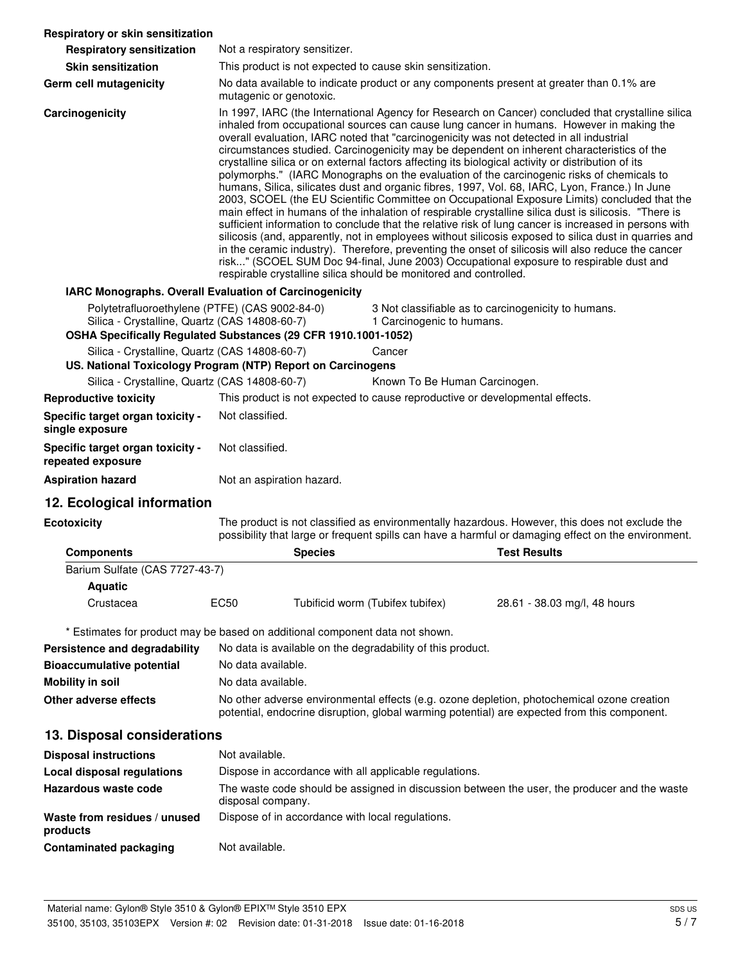| Respiratory or skin sensitization                                                               |                                                                                                                                                                                                                                                                                                                                                                                                                                                                                                                                                                                                                                                                                                                                                                                                                                                                                                                                                                                                                                                                                                                                                                                                                                                                                                                                                                                             |                                  |                                                                                                                                                                                                       |
|-------------------------------------------------------------------------------------------------|---------------------------------------------------------------------------------------------------------------------------------------------------------------------------------------------------------------------------------------------------------------------------------------------------------------------------------------------------------------------------------------------------------------------------------------------------------------------------------------------------------------------------------------------------------------------------------------------------------------------------------------------------------------------------------------------------------------------------------------------------------------------------------------------------------------------------------------------------------------------------------------------------------------------------------------------------------------------------------------------------------------------------------------------------------------------------------------------------------------------------------------------------------------------------------------------------------------------------------------------------------------------------------------------------------------------------------------------------------------------------------------------|----------------------------------|-------------------------------------------------------------------------------------------------------------------------------------------------------------------------------------------------------|
| <b>Respiratory sensitization</b>                                                                | Not a respiratory sensitizer.                                                                                                                                                                                                                                                                                                                                                                                                                                                                                                                                                                                                                                                                                                                                                                                                                                                                                                                                                                                                                                                                                                                                                                                                                                                                                                                                                               |                                  |                                                                                                                                                                                                       |
| <b>Skin sensitization</b>                                                                       | This product is not expected to cause skin sensitization.                                                                                                                                                                                                                                                                                                                                                                                                                                                                                                                                                                                                                                                                                                                                                                                                                                                                                                                                                                                                                                                                                                                                                                                                                                                                                                                                   |                                  |                                                                                                                                                                                                       |
| Germ cell mutagenicity                                                                          | No data available to indicate product or any components present at greater than 0.1% are<br>mutagenic or genotoxic.                                                                                                                                                                                                                                                                                                                                                                                                                                                                                                                                                                                                                                                                                                                                                                                                                                                                                                                                                                                                                                                                                                                                                                                                                                                                         |                                  |                                                                                                                                                                                                       |
| Carcinogenicity                                                                                 | In 1997, IARC (the International Agency for Research on Cancer) concluded that crystalline silica<br>inhaled from occupational sources can cause lung cancer in humans. However in making the<br>overall evaluation, IARC noted that "carcinogenicity was not detected in all industrial<br>circumstances studied. Carcinogenicity may be dependent on inherent characteristics of the<br>crystalline silica or on external factors affecting its biological activity or distribution of its<br>polymorphs." (IARC Monographs on the evaluation of the carcinogenic risks of chemicals to<br>humans, Silica, silicates dust and organic fibres, 1997, Vol. 68, IARC, Lyon, France.) In June<br>2003, SCOEL (the EU Scientific Committee on Occupational Exposure Limits) concluded that the<br>main effect in humans of the inhalation of respirable crystalline silica dust is silicosis. "There is<br>sufficient information to conclude that the relative risk of lung cancer is increased in persons with<br>silicosis (and, apparently, not in employees without silicosis exposed to silica dust in quarries and<br>in the ceramic industry). Therefore, preventing the onset of silicosis will also reduce the cancer<br>risk" (SCOEL SUM Doc 94-final, June 2003) Occupational exposure to respirable dust and<br>respirable crystalline silica should be monitored and controlled. |                                  |                                                                                                                                                                                                       |
| IARC Monographs. Overall Evaluation of Carcinogenicity                                          |                                                                                                                                                                                                                                                                                                                                                                                                                                                                                                                                                                                                                                                                                                                                                                                                                                                                                                                                                                                                                                                                                                                                                                                                                                                                                                                                                                                             |                                  |                                                                                                                                                                                                       |
| Polytetrafluoroethylene (PTFE) (CAS 9002-84-0)<br>Silica - Crystalline, Quartz (CAS 14808-60-7) | OSHA Specifically Regulated Substances (29 CFR 1910.1001-1052)                                                                                                                                                                                                                                                                                                                                                                                                                                                                                                                                                                                                                                                                                                                                                                                                                                                                                                                                                                                                                                                                                                                                                                                                                                                                                                                              | 1 Carcinogenic to humans.        | 3 Not classifiable as to carcinogenicity to humans.                                                                                                                                                   |
| Silica - Crystalline, Quartz (CAS 14808-60-7)                                                   |                                                                                                                                                                                                                                                                                                                                                                                                                                                                                                                                                                                                                                                                                                                                                                                                                                                                                                                                                                                                                                                                                                                                                                                                                                                                                                                                                                                             | Cancer                           |                                                                                                                                                                                                       |
|                                                                                                 | US. National Toxicology Program (NTP) Report on Carcinogens                                                                                                                                                                                                                                                                                                                                                                                                                                                                                                                                                                                                                                                                                                                                                                                                                                                                                                                                                                                                                                                                                                                                                                                                                                                                                                                                 |                                  |                                                                                                                                                                                                       |
| Silica - Crystalline, Quartz (CAS 14808-60-7)                                                   |                                                                                                                                                                                                                                                                                                                                                                                                                                                                                                                                                                                                                                                                                                                                                                                                                                                                                                                                                                                                                                                                                                                                                                                                                                                                                                                                                                                             | Known To Be Human Carcinogen.    |                                                                                                                                                                                                       |
| <b>Reproductive toxicity</b>                                                                    | This product is not expected to cause reproductive or developmental effects.                                                                                                                                                                                                                                                                                                                                                                                                                                                                                                                                                                                                                                                                                                                                                                                                                                                                                                                                                                                                                                                                                                                                                                                                                                                                                                                |                                  |                                                                                                                                                                                                       |
| Specific target organ toxicity -<br>single exposure                                             | Not classified.                                                                                                                                                                                                                                                                                                                                                                                                                                                                                                                                                                                                                                                                                                                                                                                                                                                                                                                                                                                                                                                                                                                                                                                                                                                                                                                                                                             |                                  |                                                                                                                                                                                                       |
| Specific target organ toxicity -<br>repeated exposure                                           | Not classified.                                                                                                                                                                                                                                                                                                                                                                                                                                                                                                                                                                                                                                                                                                                                                                                                                                                                                                                                                                                                                                                                                                                                                                                                                                                                                                                                                                             |                                  |                                                                                                                                                                                                       |
| <b>Aspiration hazard</b>                                                                        | Not an aspiration hazard.                                                                                                                                                                                                                                                                                                                                                                                                                                                                                                                                                                                                                                                                                                                                                                                                                                                                                                                                                                                                                                                                                                                                                                                                                                                                                                                                                                   |                                  |                                                                                                                                                                                                       |
| 12. Ecological information                                                                      |                                                                                                                                                                                                                                                                                                                                                                                                                                                                                                                                                                                                                                                                                                                                                                                                                                                                                                                                                                                                                                                                                                                                                                                                                                                                                                                                                                                             |                                  |                                                                                                                                                                                                       |
| <b>Ecotoxicity</b>                                                                              |                                                                                                                                                                                                                                                                                                                                                                                                                                                                                                                                                                                                                                                                                                                                                                                                                                                                                                                                                                                                                                                                                                                                                                                                                                                                                                                                                                                             |                                  | The product is not classified as environmentally hazardous. However, this does not exclude the<br>possibility that large or frequent spills can have a harmful or damaging effect on the environment. |
| <b>Components</b>                                                                               | <b>Species</b>                                                                                                                                                                                                                                                                                                                                                                                                                                                                                                                                                                                                                                                                                                                                                                                                                                                                                                                                                                                                                                                                                                                                                                                                                                                                                                                                                                              |                                  | <b>Test Results</b>                                                                                                                                                                                   |
| Barium Sulfate (CAS 7727-43-7)                                                                  |                                                                                                                                                                                                                                                                                                                                                                                                                                                                                                                                                                                                                                                                                                                                                                                                                                                                                                                                                                                                                                                                                                                                                                                                                                                                                                                                                                                             |                                  |                                                                                                                                                                                                       |
| <b>Aquatic</b>                                                                                  |                                                                                                                                                                                                                                                                                                                                                                                                                                                                                                                                                                                                                                                                                                                                                                                                                                                                                                                                                                                                                                                                                                                                                                                                                                                                                                                                                                                             |                                  |                                                                                                                                                                                                       |
| Crustacea                                                                                       | <b>EC50</b>                                                                                                                                                                                                                                                                                                                                                                                                                                                                                                                                                                                                                                                                                                                                                                                                                                                                                                                                                                                                                                                                                                                                                                                                                                                                                                                                                                                 | Tubificid worm (Tubifex tubifex) | 28.61 - 38.03 mg/l, 48 hours                                                                                                                                                                          |
|                                                                                                 | * Estimates for product may be based on additional component data not shown.                                                                                                                                                                                                                                                                                                                                                                                                                                                                                                                                                                                                                                                                                                                                                                                                                                                                                                                                                                                                                                                                                                                                                                                                                                                                                                                |                                  |                                                                                                                                                                                                       |
| Persistence and degradability                                                                   | No data is available on the degradability of this product.                                                                                                                                                                                                                                                                                                                                                                                                                                                                                                                                                                                                                                                                                                                                                                                                                                                                                                                                                                                                                                                                                                                                                                                                                                                                                                                                  |                                  |                                                                                                                                                                                                       |
| <b>Bioaccumulative potential</b>                                                                | No data available.                                                                                                                                                                                                                                                                                                                                                                                                                                                                                                                                                                                                                                                                                                                                                                                                                                                                                                                                                                                                                                                                                                                                                                                                                                                                                                                                                                          |                                  |                                                                                                                                                                                                       |
| <b>Mobility in soil</b>                                                                         | No data available.                                                                                                                                                                                                                                                                                                                                                                                                                                                                                                                                                                                                                                                                                                                                                                                                                                                                                                                                                                                                                                                                                                                                                                                                                                                                                                                                                                          |                                  |                                                                                                                                                                                                       |
| Other adverse effects                                                                           |                                                                                                                                                                                                                                                                                                                                                                                                                                                                                                                                                                                                                                                                                                                                                                                                                                                                                                                                                                                                                                                                                                                                                                                                                                                                                                                                                                                             |                                  | No other adverse environmental effects (e.g. ozone depletion, photochemical ozone creation<br>potential, endocrine disruption, global warming potential) are expected from this component.            |
| 13. Disposal considerations                                                                     |                                                                                                                                                                                                                                                                                                                                                                                                                                                                                                                                                                                                                                                                                                                                                                                                                                                                                                                                                                                                                                                                                                                                                                                                                                                                                                                                                                                             |                                  |                                                                                                                                                                                                       |
| <b>Disposal instructions</b>                                                                    | Not available.                                                                                                                                                                                                                                                                                                                                                                                                                                                                                                                                                                                                                                                                                                                                                                                                                                                                                                                                                                                                                                                                                                                                                                                                                                                                                                                                                                              |                                  |                                                                                                                                                                                                       |
| <b>Local disposal regulations</b>                                                               | Dispose in accordance with all applicable regulations.                                                                                                                                                                                                                                                                                                                                                                                                                                                                                                                                                                                                                                                                                                                                                                                                                                                                                                                                                                                                                                                                                                                                                                                                                                                                                                                                      |                                  |                                                                                                                                                                                                       |
| Hazardous waste code                                                                            | disposal company.                                                                                                                                                                                                                                                                                                                                                                                                                                                                                                                                                                                                                                                                                                                                                                                                                                                                                                                                                                                                                                                                                                                                                                                                                                                                                                                                                                           |                                  | The waste code should be assigned in discussion between the user, the producer and the waste                                                                                                          |
| Waste from residues / unused<br>products                                                        | Dispose of in accordance with local regulations.                                                                                                                                                                                                                                                                                                                                                                                                                                                                                                                                                                                                                                                                                                                                                                                                                                                                                                                                                                                                                                                                                                                                                                                                                                                                                                                                            |                                  |                                                                                                                                                                                                       |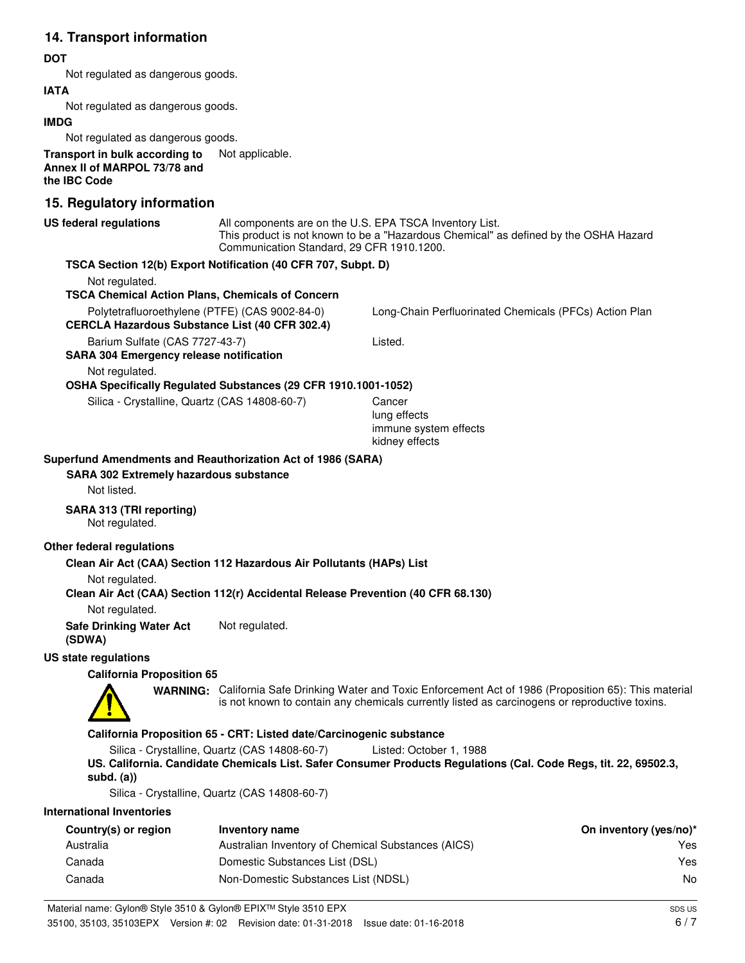## **14. Transport information**

#### **DOT**

Not regulated as dangerous goods.

### **IATA**

Not regulated as dangerous goods.

#### **IMDG**

Not regulated as dangerous goods.

**Transport in bulk according to** Not applicable. **Annex II of MARPOL 73/78 and the IBC Code**

## **15. Regulatory information**

| 19. Regulatory Information                                                                              |                                                                       |                                                                                                                                                                                                            |                        |
|---------------------------------------------------------------------------------------------------------|-----------------------------------------------------------------------|------------------------------------------------------------------------------------------------------------------------------------------------------------------------------------------------------------|------------------------|
| <b>US federal regulations</b>                                                                           | Communication Standard, 29 CFR 1910.1200.                             | All components are on the U.S. EPA TSCA Inventory List.<br>This product is not known to be a "Hazardous Chemical" as defined by the OSHA Hazard                                                            |                        |
| TSCA Section 12(b) Export Notification (40 CFR 707, Subpt. D)                                           |                                                                       |                                                                                                                                                                                                            |                        |
| Not regulated.                                                                                          |                                                                       |                                                                                                                                                                                                            |                        |
| <b>TSCA Chemical Action Plans, Chemicals of Concern</b>                                                 |                                                                       |                                                                                                                                                                                                            |                        |
| Polytetrafluoroethylene (PTFE) (CAS 9002-84-0)<br><b>CERCLA Hazardous Substance List (40 CFR 302.4)</b> |                                                                       | Long-Chain Perfluorinated Chemicals (PFCs) Action Plan                                                                                                                                                     |                        |
| Barium Sulfate (CAS 7727-43-7)<br><b>SARA 304 Emergency release notification</b>                        |                                                                       | Listed.                                                                                                                                                                                                    |                        |
| Not regulated.                                                                                          |                                                                       |                                                                                                                                                                                                            |                        |
| OSHA Specifically Regulated Substances (29 CFR 1910.1001-1052)                                          |                                                                       |                                                                                                                                                                                                            |                        |
| Silica - Crystalline, Quartz (CAS 14808-60-7)                                                           |                                                                       | Cancer                                                                                                                                                                                                     |                        |
|                                                                                                         |                                                                       | lung effects<br>immune system effects<br>kidney effects                                                                                                                                                    |                        |
| Superfund Amendments and Reauthorization Act of 1986 (SARA)                                             |                                                                       |                                                                                                                                                                                                            |                        |
| <b>SARA 302 Extremely hazardous substance</b>                                                           |                                                                       |                                                                                                                                                                                                            |                        |
| Not listed.                                                                                             |                                                                       |                                                                                                                                                                                                            |                        |
| SARA 313 (TRI reporting)<br>Not regulated.                                                              |                                                                       |                                                                                                                                                                                                            |                        |
|                                                                                                         |                                                                       |                                                                                                                                                                                                            |                        |
| Other federal regulations                                                                               |                                                                       |                                                                                                                                                                                                            |                        |
| Clean Air Act (CAA) Section 112 Hazardous Air Pollutants (HAPs) List                                    |                                                                       |                                                                                                                                                                                                            |                        |
| Not regulated.<br>Clean Air Act (CAA) Section 112(r) Accidental Release Prevention (40 CFR 68.130)      |                                                                       |                                                                                                                                                                                                            |                        |
| Not regulated.                                                                                          |                                                                       |                                                                                                                                                                                                            |                        |
| <b>Safe Drinking Water Act</b><br>(SDWA)                                                                | Not regulated.                                                        |                                                                                                                                                                                                            |                        |
| US state regulations                                                                                    |                                                                       |                                                                                                                                                                                                            |                        |
| <b>California Proposition 65</b>                                                                        |                                                                       |                                                                                                                                                                                                            |                        |
|                                                                                                         |                                                                       | WARNING: California Safe Drinking Water and Toxic Enforcement Act of 1986 (Proposition 65): This material<br>is not known to contain any chemicals currently listed as carcinogens or reproductive toxins. |                        |
|                                                                                                         | California Proposition 65 - CRT: Listed date/Carcinogenic substance   |                                                                                                                                                                                                            |                        |
|                                                                                                         | Silica - Crystalline, Quartz (CAS 14808-60-7) Listed: October 1, 1988 |                                                                                                                                                                                                            |                        |
| subd. $(a)$                                                                                             |                                                                       | US. California. Candidate Chemicals List. Safer Consumer Products Regulations (Cal. Code Regs, tit. 22, 69502.3,                                                                                           |                        |
|                                                                                                         | Silica - Crystalline, Quartz (CAS 14808-60-7)                         |                                                                                                                                                                                                            |                        |
| <b>International Inventories</b>                                                                        |                                                                       |                                                                                                                                                                                                            |                        |
| Country(s) or region                                                                                    | Inventory name                                                        |                                                                                                                                                                                                            | On inventory (yes/no)* |
| Australia                                                                                               | Australian Inventory of Chemical Substances (AICS)                    |                                                                                                                                                                                                            | Yes                    |
| Canada                                                                                                  | Domestic Substances List (DSL)                                        |                                                                                                                                                                                                            | Yes                    |

Canada Non-Domestic Substances List (NDSL) No